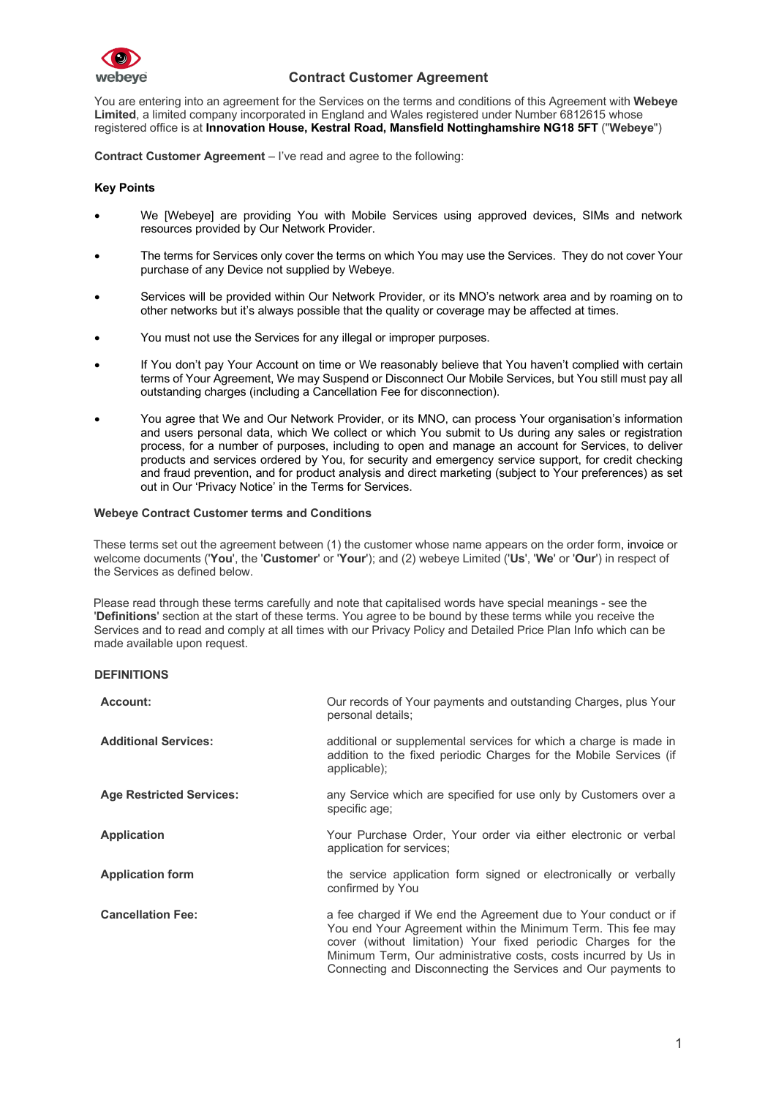

You are entering into an agreement for the Services on the terms and conditions of this Agreement with **Webeye Limited**, a limited company incorporated in England and Wales registered under Number 6812615 whose registered office is at **Innovation House, Kestral Road, Mansfield Nottinghamshire NG18 5FT** ("**Webeye**")

**Contract Customer Agreement** – I've read and agree to the following:

## **Key Points**

- We [Webeye] are providing You with Mobile Services using approved devices, SIMs and network resources provided by Our Network Provider.
- The terms for Services only cover the terms on which You may use the Services. They do not cover Your purchase of any Device not supplied by Webeye.
- Services will be provided within Our Network Provider, or its MNO's network area and by roaming on to other networks but it's always possible that the quality or coverage may be affected at times.
- You must not use the Services for any illegal or improper purposes.
- If You don't pay Your Account on time or We reasonably believe that You haven't complied with certain terms of Your Agreement, We may Suspend or Disconnect Our Mobile Services, but You still must pay all outstanding charges (including a Cancellation Fee for disconnection).
- You agree that We and Our Network Provider, or its MNO, can process Your organisation's information and users personal data, which We collect or which You submit to Us during any sales or registration process, for a number of purposes, including to open and manage an account for Services, to deliver products and services ordered by You, for security and emergency service support, for credit checking and fraud prevention, and for product analysis and direct marketing (subject to Your preferences) as set out in Our 'Privacy Notice' in the Terms for Services.

#### **Webeye Contract Customer terms and Conditions**

These terms set out the agreement between (1) the customer whose name appears on the order form, invoice or welcome documents ('**You**', the '**Customer**' or '**Your**'); and (2) webeye Limited ('**Us**', '**We**' or '**Our**') in respect of the Services as defined below.

Please read through these terms carefully and note that capitalised words have special meanings - see the '**Definitions**' section at the start of these terms. You agree to be bound by these terms while you receive the Services and to read and comply at all times with our Privacy Policy and Detailed Price Plan Info which can be made available upon request.

## **DEFINITIONS**

| Account:                        | Our records of Your payments and outstanding Charges, plus Your<br>personal details;                                                                                                                                                                                                                                                  |
|---------------------------------|---------------------------------------------------------------------------------------------------------------------------------------------------------------------------------------------------------------------------------------------------------------------------------------------------------------------------------------|
| <b>Additional Services:</b>     | additional or supplemental services for which a charge is made in<br>addition to the fixed periodic Charges for the Mobile Services (if<br>applicable);                                                                                                                                                                               |
| <b>Age Restricted Services:</b> | any Service which are specified for use only by Customers over a<br>specific age;                                                                                                                                                                                                                                                     |
| <b>Application</b>              | Your Purchase Order, Your order via either electronic or verbal<br>application for services;                                                                                                                                                                                                                                          |
| <b>Application form</b>         | the service application form signed or electronically or verbally<br>confirmed by You                                                                                                                                                                                                                                                 |
| <b>Cancellation Fee:</b>        | a fee charged if We end the Agreement due to Your conduct or if<br>You end Your Agreement within the Minimum Term. This fee may<br>cover (without limitation) Your fixed periodic Charges for the<br>Minimum Term, Our administrative costs, costs incurred by Us in<br>Connecting and Disconnecting the Services and Our payments to |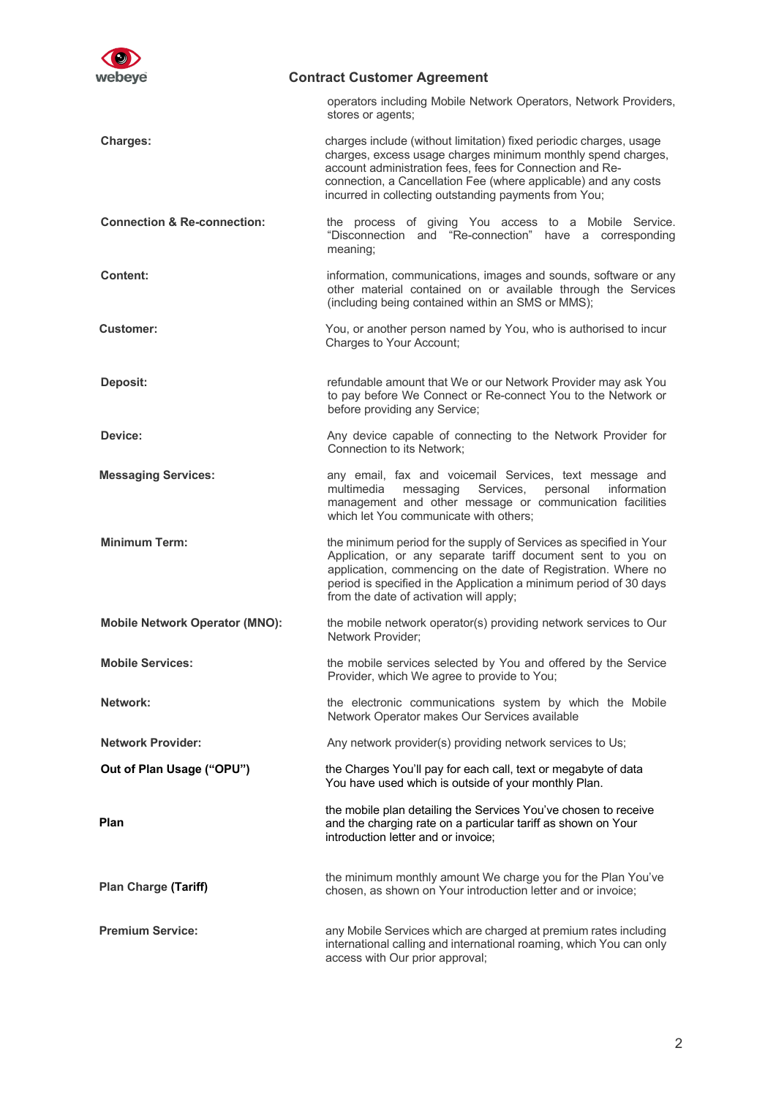

operators including Mobile Network Operators, Network Providers, stores or agents;

**Charges:** charges include (without limitation) fixed periodic charges, usage charges, excess usage charges minimum monthly spend charges, account administration fees, fees for Connection and Reconnection, a Cancellation Fee (where applicable) and any costs incurred in collecting outstanding payments from You;

**Connection & Re-connection:** the process of giving You access to a Mobile Service. "Disconnection and "Re-connection" have a corresponding meaning;

- **Content: information, communications, images and sounds, software or any** other material contained on or available through the Services (including being contained within an SMS or MMS);
- **Customer:** You, or another person named by You, who is authorised to incur Charges to Your Account;
- **Deposit: refundable amount that We or our Network Provider may ask You Network Provider may ask You** to pay before We Connect or Re-connect You to the Network or before providing any Service;
- **Device:** Any device capable of connecting to the Network Provider for Connection to its Network;
- **Messaging Services: any email, fax and voicemail Services, text message and voicemail Services** multimedia messaging Services, personal information management and other message or communication facilities which let You communicate with others;
- **Minimum Term:** the minimum period for the supply of Services as specified in Your Application, or any separate tariff document sent to you on application, commencing on the date of Registration. Where no period is specified in the Application a minimum period of 30 days from the date of activation will apply;
- **Mobile Network Operator (MNO):** the mobile network operator(s) providing network services to Our Network Provider;
- **Mobile Services:** the mobile services selected by You and offered by the Service Provider, which We agree to provide to You;
- **Network:** the electronic communications system by which the Mobile Network Operator makes Our Services available
	- Any network provider(s) providing network services to Us;

**Out of Plan Usage ("OPU")** the Charges You'll pay for each call, text or megabyte of data You have used which is outside of your monthly Plan.

> the mobile plan detailing the Services You've chosen to receive and the charging rate on a particular tariff as shown on Your introduction letter and or invoice;

the minimum monthly amount We charge you for the Plan You've chosen, as shown on Your introduction letter and or invoice;

**Plan Charge (Tariff)**

**Network Provider:**

**Plan**

**Premium Service: any Mobile Services which are charged at premium rates including** international calling and international roaming, which You can only access with Our prior approval;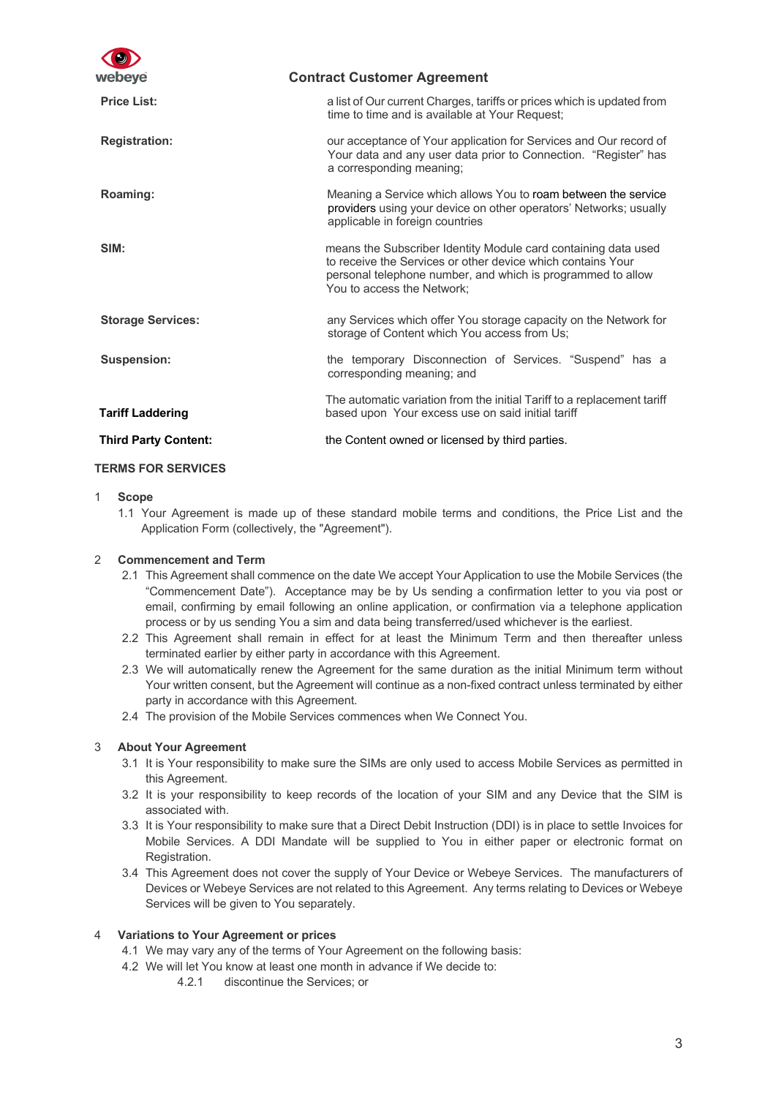| webeye                      | <b>Contract Customer Agreement</b>                                                                                                                                                                                         |
|-----------------------------|----------------------------------------------------------------------------------------------------------------------------------------------------------------------------------------------------------------------------|
| <b>Price List:</b>          | a list of Our current Charges, tariffs or prices which is updated from<br>time to time and is available at Your Request;                                                                                                   |
| <b>Registration:</b>        | our acceptance of Your application for Services and Our record of<br>Your data and any user data prior to Connection. "Register" has<br>a corresponding meaning;                                                           |
| Roaming:                    | Meaning a Service which allows You to roam between the service<br>providers using your device on other operators' Networks; usually<br>applicable in foreign countries                                                     |
| SIM:                        | means the Subscriber Identity Module card containing data used<br>to receive the Services or other device which contains Your<br>personal telephone number, and which is programmed to allow<br>You to access the Network; |
| <b>Storage Services:</b>    | any Services which offer You storage capacity on the Network for<br>storage of Content which You access from Us;                                                                                                           |
| <b>Suspension:</b>          | the temporary Disconnection of Services. "Suspend" has a<br>corresponding meaning; and                                                                                                                                     |
| <b>Tariff Laddering</b>     | The automatic variation from the initial Tariff to a replacement tariff<br>based upon Your excess use on said initial tariff                                                                                               |
| <b>Third Party Content:</b> | the Content owned or licensed by third parties.                                                                                                                                                                            |

## **TERMS FOR SERVICES**

#### 1 **Scope**

1.1 Your Agreement is made up of these standard mobile terms and conditions, the Price List and the Application Form (collectively, the "Agreement").

## 2 **Commencement and Term**

- 2.1 This Agreement shall commence on the date We accept Your Application to use the Mobile Services (the "Commencement Date"). Acceptance may be by Us sending a confirmation letter to you via post or email, confirming by email following an online application, or confirmation via a telephone application process or by us sending You a sim and data being transferred/used whichever is the earliest.
- 2.2 This Agreement shall remain in effect for at least the Minimum Term and then thereafter unless terminated earlier by either party in accordance with this Agreement.
- 2.3 We will automatically renew the Agreement for the same duration as the initial Minimum term without Your written consent, but the Agreement will continue as a non-fixed contract unless terminated by either party in accordance with this Agreement.
- 2.4 The provision of the Mobile Services commences when We Connect You.

## 3 **About Your Agreement**

- 3.1 It is Your responsibility to make sure the SIMs are only used to access Mobile Services as permitted in this Agreement.
- 3.2 It is your responsibility to keep records of the location of your SIM and any Device that the SIM is associated with.
- 3.3 It is Your responsibility to make sure that a Direct Debit Instruction (DDI) is in place to settle Invoices for Mobile Services. A DDI Mandate will be supplied to You in either paper or electronic format on Registration.
- 3.4 This Agreement does not cover the supply of Your Device or Webeye Services. The manufacturers of Devices or Webeye Services are not related to this Agreement. Any terms relating to Devices or Webeye Services will be given to You separately.

## 4 **Variations to Your Agreement or prices**

- 4.1 We may vary any of the terms of Your Agreement on the following basis:
- 4.2 We will let You know at least one month in advance if We decide to:
	- 4.2.1 discontinue the Services; or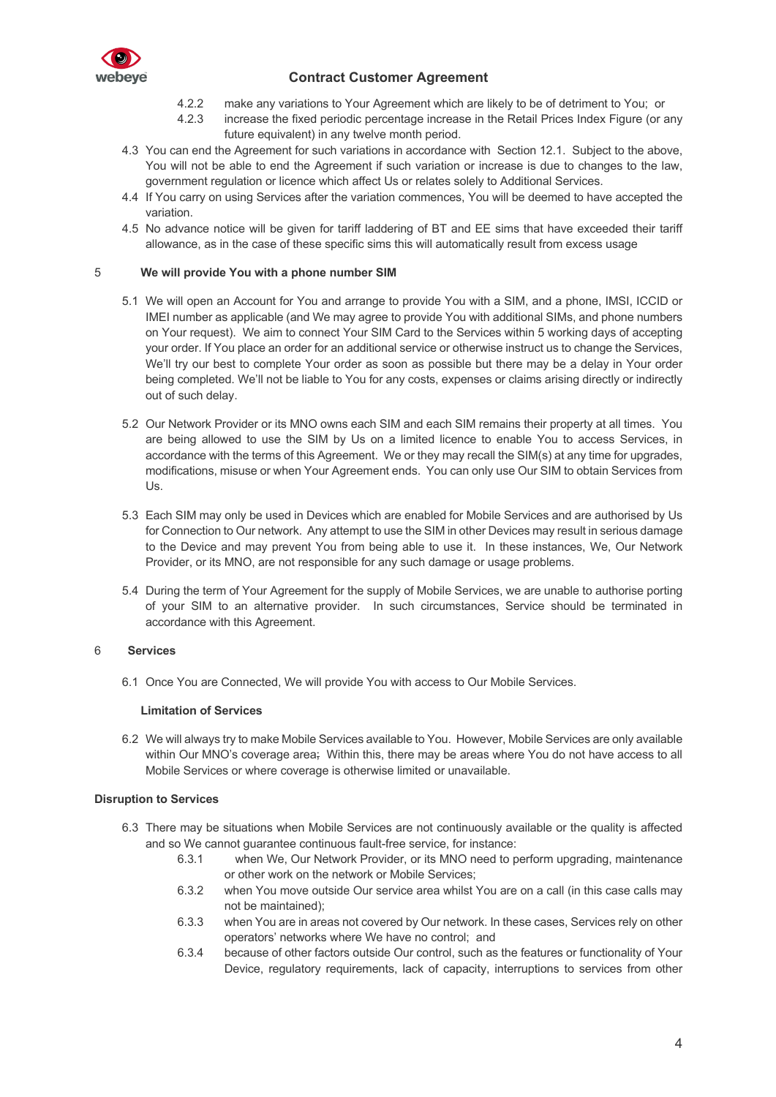

- 4.2.2 make any variations to Your Agreement which are likely to be of detriment to You; or
- 4.2.3 increase the fixed periodic percentage increase in the Retail Prices Index Figure (or any future equivalent) in any twelve month period.
- 4.3 You can end the Agreement for such variations in accordance with Section 12.1. Subject to the above, You will not be able to end the Agreement if such variation or increase is due to changes to the law, government regulation or licence which affect Us or relates solely to Additional Services.
- 4.4 If You carry on using Services after the variation commences, You will be deemed to have accepted the variation.
- 4.5 No advance notice will be given for tariff laddering of BT and EE sims that have exceeded their tariff allowance, as in the case of these specific sims this will automatically result from excess usage

### 5 **We will provide You with a phone number SIM**

- 5.1 We will open an Account for You and arrange to provide You with a SIM, and a phone, IMSI, ICCID or IMEI number as applicable (and We may agree to provide You with additional SIMs, and phone numbers on Your request). We aim to connect Your SIM Card to the Services within 5 working days of accepting your order. If You place an order for an additional service or otherwise instruct us to change the Services, We'll try our best to complete Your order as soon as possible but there may be a delay in Your order being completed. We'll not be liable to You for any costs, expenses or claims arising directly or indirectly out of such delay.
- 5.2 Our Network Provider or its MNO owns each SIM and each SIM remains their property at all times. You are being allowed to use the SIM by Us on a limited licence to enable You to access Services, in accordance with the terms of this Agreement. We or they may recall the SIM(s) at any time for upgrades, modifications, misuse or when Your Agreement ends. You can only use Our SIM to obtain Services from Us.
- 5.3 Each SIM may only be used in Devices which are enabled for Mobile Services and are authorised by Us for Connection to Our network. Any attempt to use the SIM in other Devices may result in serious damage to the Device and may prevent You from being able to use it. In these instances, We, Our Network Provider, or its MNO, are not responsible for any such damage or usage problems.
- 5.4 During the term of Your Agreement for the supply of Mobile Services, we are unable to authorise porting of your SIM to an alternative provider. In such circumstances, Service should be terminated in accordance with this Agreement.

## 6 **Services**

6.1 Once You are Connected, We will provide You with access to Our Mobile Services.

#### **Limitation of Services**

6.2 We will always try to make Mobile Services available to You. However, Mobile Services are only available within Our MNO's coverage area; Within this, there may be areas where You do not have access to all Mobile Services or where coverage is otherwise limited or unavailable.

#### **Disruption to Services**

- 6.3 There may be situations when Mobile Services are not continuously available or the quality is affected and so We cannot guarantee continuous fault-free service, for instance:
	- 6.3.1 when We, Our Network Provider, or its MNO need to perform upgrading, maintenance or other work on the network or Mobile Services;
	- 6.3.2 when You move outside Our service area whilst You are on a call (in this case calls may not be maintained);
	- 6.3.3 when You are in areas not covered by Our network. In these cases, Services rely on other operators' networks where We have no control; and
	- 6.3.4 because of other factors outside Our control, such as the features or functionality of Your Device, regulatory requirements, lack of capacity, interruptions to services from other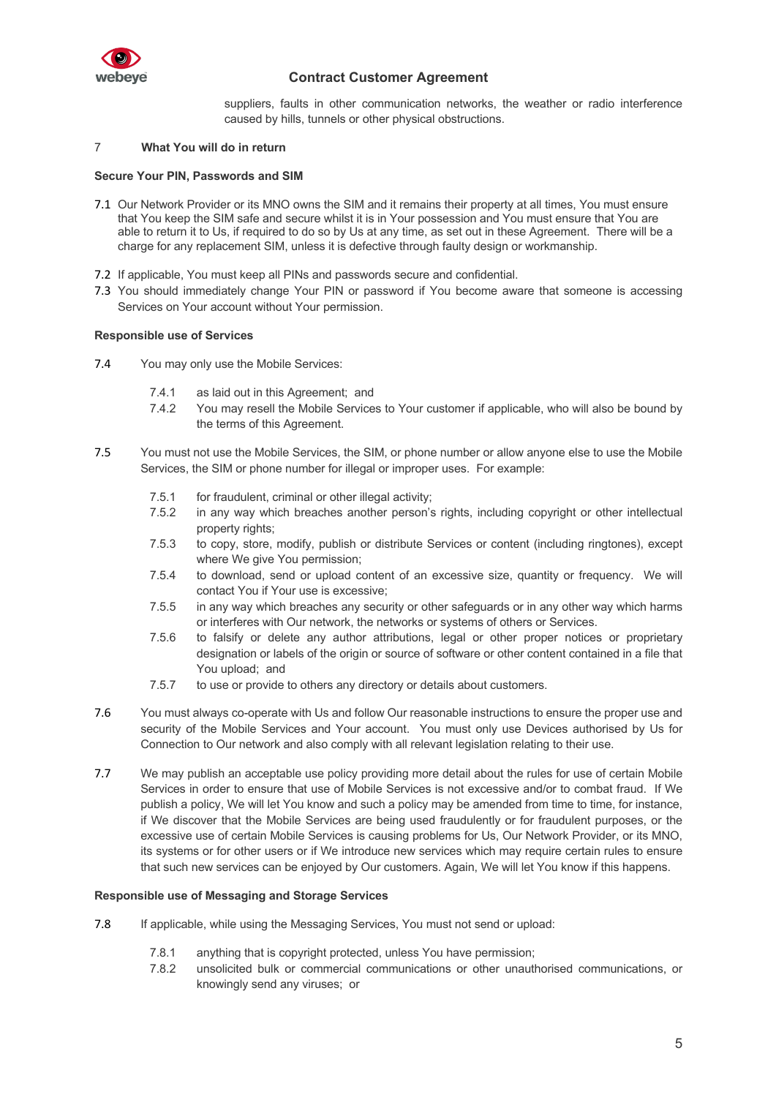

suppliers, faults in other communication networks, the weather or radio interference caused by hills, tunnels or other physical obstructions.

## 7 **What You will do in return**

#### **Secure Your PIN, Passwords and SIM**

- 7.1 Our Network Provider or its MNO owns the SIM and it remains their property at all times, You must ensure that You keep the SIM safe and secure whilst it is in Your possession and You must ensure that You are able to return it to Us, if required to do so by Us at any time, as set out in these Agreement. There will be a charge for any replacement SIM, unless it is defective through faulty design or workmanship.
- 7.2 If applicable, You must keep all PINs and passwords secure and confidential.
- 7.3 You should immediately change Your PIN or password if You become aware that someone is accessing Services on Your account without Your permission.

### **Responsible use of Services**

- 7.4 You may only use the Mobile Services:
	- 7.4.1 as laid out in this Agreement; and
	- 7.4.2 You may resell the Mobile Services to Your customer if applicable, who will also be bound by the terms of this Agreement.
- 7.5 You must not use the Mobile Services, the SIM, or phone number or allow anyone else to use the Mobile Services, the SIM or phone number for illegal or improper uses. For example:
	- 7.5.1 for fraudulent, criminal or other illegal activity;
	- 7.5.2 in any way which breaches another person's rights, including copyright or other intellectual property rights;
	- 7.5.3 to copy, store, modify, publish or distribute Services or content (including ringtones), except where We give You permission;
	- 7.5.4 to download, send or upload content of an excessive size, quantity or frequency. We will contact You if Your use is excessive;
	- 7.5.5 in any way which breaches any security or other safeguards or in any other way which harms or interferes with Our network, the networks or systems of others or Services.
	- 7.5.6 to falsify or delete any author attributions, legal or other proper notices or proprietary designation or labels of the origin or source of software or other content contained in a file that You upload; and
	- 7.5.7 to use or provide to others any directory or details about customers.
- 7.6 You must always co-operate with Us and follow Our reasonable instructions to ensure the proper use and security of the Mobile Services and Your account. You must only use Devices authorised by Us for Connection to Our network and also comply with all relevant legislation relating to their use.
- 7.7 We may publish an acceptable use policy providing more detail about the rules for use of certain Mobile Services in order to ensure that use of Mobile Services is not excessive and/or to combat fraud. If We publish a policy, We will let You know and such a policy may be amended from time to time, for instance, if We discover that the Mobile Services are being used fraudulently or for fraudulent purposes, or the excessive use of certain Mobile Services is causing problems for Us, Our Network Provider, or its MNO, its systems or for other users or if We introduce new services which may require certain rules to ensure that such new services can be enjoyed by Our customers. Again, We will let You know if this happens.

## **Responsible use of Messaging and Storage Services**

- 7.8 If applicable, while using the Messaging Services, You must not send or upload:
	- 7.8.1 anything that is copyright protected, unless You have permission;
	- 7.8.2 unsolicited bulk or commercial communications or other unauthorised communications, or knowingly send any viruses; or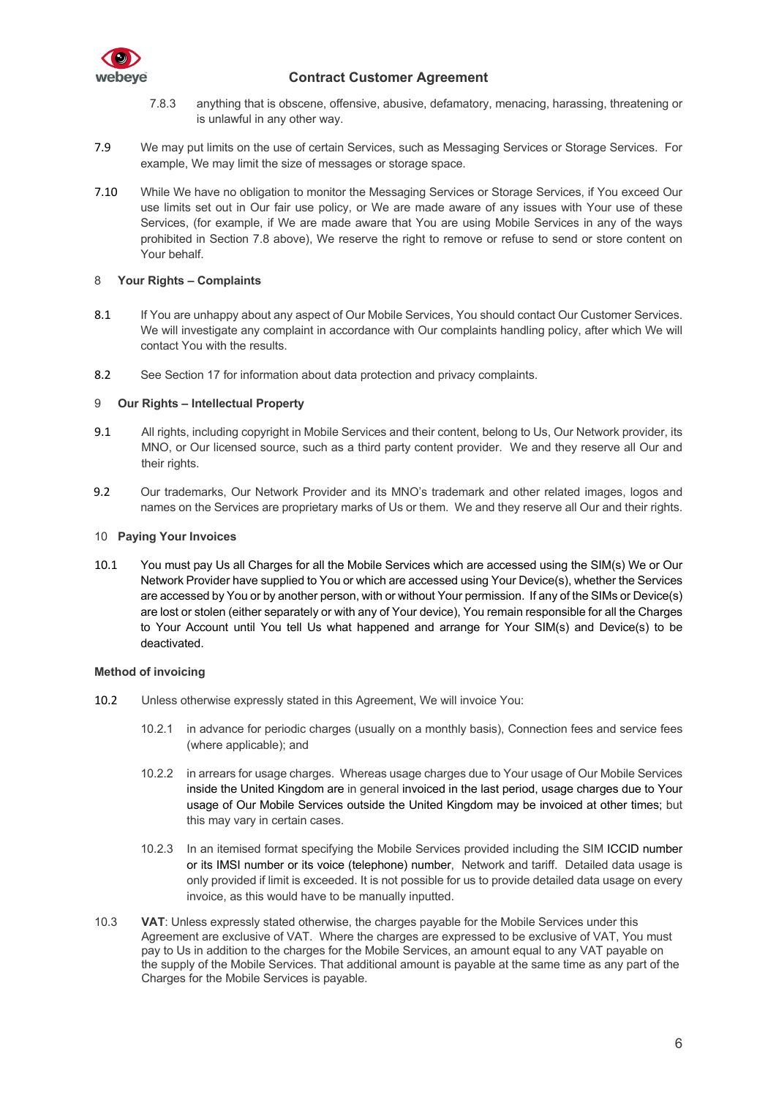

- 7.8.3 anything that is obscene, offensive, abusive, defamatory, menacing, harassing, threatening or is unlawful in any other way.
- 7.9 We may put limits on the use of certain Services, such as Messaging Services or Storage Services. For example, We may limit the size of messages or storage space.
- 7.10 While We have no obligation to monitor the Messaging Services or Storage Services, if You exceed Our use limits set out in Our fair use policy, or We are made aware of any issues with Your use of these Services, (for example, if We are made aware that You are using Mobile Services in any of the ways prohibited in Section 7.8 above), We reserve the right to remove or refuse to send or store content on Your behalf.

## 8 **Your Rights – Complaints**

- 8.1 If You are unhappy about any aspect of Our Mobile Services, You should contact Our Customer Services. We will investigate any complaint in accordance with Our complaints handling policy, after which We will contact You with the results.
- 8.2 See Section 17 for information about data protection and privacy complaints.

## 9 **Our Rights – Intellectual Property**

- 9.1 All rights, including copyright in Mobile Services and their content, belong to Us, Our Network provider, its MNO, or Our licensed source, such as a third party content provider. We and they reserve all Our and their rights.
- 9.2 Our trademarks, Our Network Provider and its MNO's trademark and other related images, logos and names on the Services are proprietary marks of Us or them. We and they reserve all Our and their rights.

## 10 **Paying Your Invoices**

10.1 You must pay Us all Charges for all the Mobile Services which are accessed using the SIM(s) We or Our Network Provider have supplied to You or which are accessed using Your Device(s), whether the Services are accessed by You or by another person, with or without Your permission. If any of the SIMs or Device(s) are lost or stolen (either separately or with any of Your device), You remain responsible for all the Charges to Your Account until You tell Us what happened and arrange for Your SIM(s) and Device(s) to be deactivated.

## **Method of invoicing**

- 10.2 Unless otherwise expressly stated in this Agreement, We will invoice You:
	- 10.2.1 in advance for periodic charges (usually on a monthly basis), Connection fees and service fees (where applicable); and
	- 10.2.2 in arrears for usage charges. Whereas usage charges due to Your usage of Our Mobile Services inside the United Kingdom are in general invoiced in the last period, usage charges due to Your usage of Our Mobile Services outside the United Kingdom may be invoiced at other times; but this may vary in certain cases.
	- 10.2.3 In an itemised format specifying the Mobile Services provided including the SIM ICCID number or its IMSI number or its voice (telephone) number, Network and tariff. Detailed data usage is only provided if limit is exceeded. It is not possible for us to provide detailed data usage on every invoice, as this would have to be manually inputted.
- 10.3 **VAT**: Unless expressly stated otherwise, the charges payable for the Mobile Services under this Agreement are exclusive of VAT. Where the charges are expressed to be exclusive of VAT, You must pay to Us in addition to the charges for the Mobile Services, an amount equal to any VAT payable on the supply of the Mobile Services. That additional amount is payable at the same time as any part of the Charges for the Mobile Services is payable.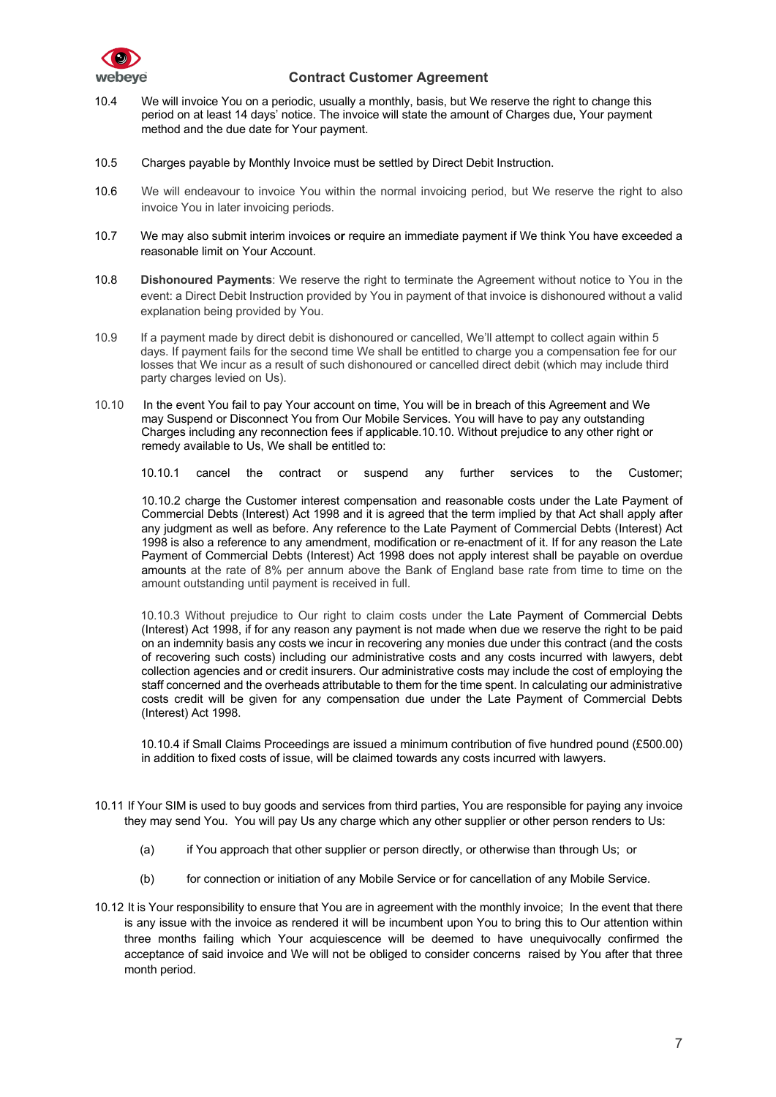

- 10.4 We will invoice You on a periodic, usually a monthly, basis, but We reserve the right to change this period on at least 14 days' notice. The invoice will state the amount of Charges due, Your payment method and the due date for Your payment.
- 10.5 Charges payable by Monthly Invoice must be settled by Direct Debit Instruction.
- 10.6 We will endeavour to invoice You within the normal invoicing period, but We reserve the right to also invoice You in later invoicing periods.
- 10.7 We may also submit interim invoices o**r** require an immediate payment if We think You have exceeded a reasonable limit on Your Account.
- 10.8 **Dishonoured Payments**: We reserve the right to terminate the Agreement without notice to You in the event: a Direct Debit Instruction provided by You in payment of that invoice is dishonoured without a valid explanation being provided by You.
- 10.9 If a payment made by direct debit is dishonoured or cancelled, We'll attempt to collect again within 5 days. If payment fails for the second time We shall be entitled to charge you a compensation fee for our losses that We incur as a result of such dishonoured or cancelled direct debit (which may include third party charges levied on Us).
- 10.10 In the event You fail to pay Your account on time, You will be in breach of this Agreement and We may Suspend or Disconnect You from Our Mobile Services. You will have to pay any outstanding Charges including any reconnection fees if applicable.10.10. Without prejudice to any other right or remedy available to Us, We shall be entitled to:

10.10.1 cancel the contract or suspend any further services to the Customer;

10.10.2 charge the Customer interest compensation and reasonable costs under the Late Payment of Commercial Debts (Interest) Act 1998 and it is agreed that the term implied by that Act shall apply after any judgment as well as before. Any reference to the Late Payment of Commercial Debts (Interest) Act 1998 is also a reference to any amendment, modification or re-enactment of it. If for any reason the Late Payment of Commercial Debts (Interest) Act 1998 does not apply interest shall be payable on overdue amounts at the rate of 8% per annum above the Bank of England base rate from time to time on the amount outstanding until payment is received in full.

10.10.3 Without prejudice to Our right to claim costs under the Late Payment of Commercial Debts (Interest) Act 1998, if for any reason any payment is not made when due we reserve the right to be paid on an indemnity basis any costs we incur in recovering any monies due under this contract (and the costs of recovering such costs) including our administrative costs and any costs incurred with lawyers, debt collection agencies and or credit insurers. Our administrative costs may include the cost of employing the staff concerned and the overheads attributable to them for the time spent. In calculating our administrative costs credit will be given for any compensation due under the Late Payment of Commercial Debts (Interest) Act 1998.

10.10.4 if Small Claims Proceedings are issued a minimum contribution of five hundred pound (£500.00) in addition to fixed costs of issue, will be claimed towards any costs incurred with lawyers.

- 10.11 If Your SIM is used to buy goods and services from third parties, You are responsible for paying any invoice they may send You. You will pay Us any charge which any other supplier or other person renders to Us:
	- (a) if You approach that other supplier or person directly, or otherwise than through Us; or
	- (b) for connection or initiation of any Mobile Service or for cancellation of any Mobile Service.
- 10.12 It is Your responsibility to ensure that You are in agreement with the monthly invoice; In the event that there is any issue with the invoice as rendered it will be incumbent upon You to bring this to Our attention within three months failing which Your acquiescence will be deemed to have unequivocally confirmed the acceptance of said invoice and We will not be obliged to consider concerns raised by You after that three month period.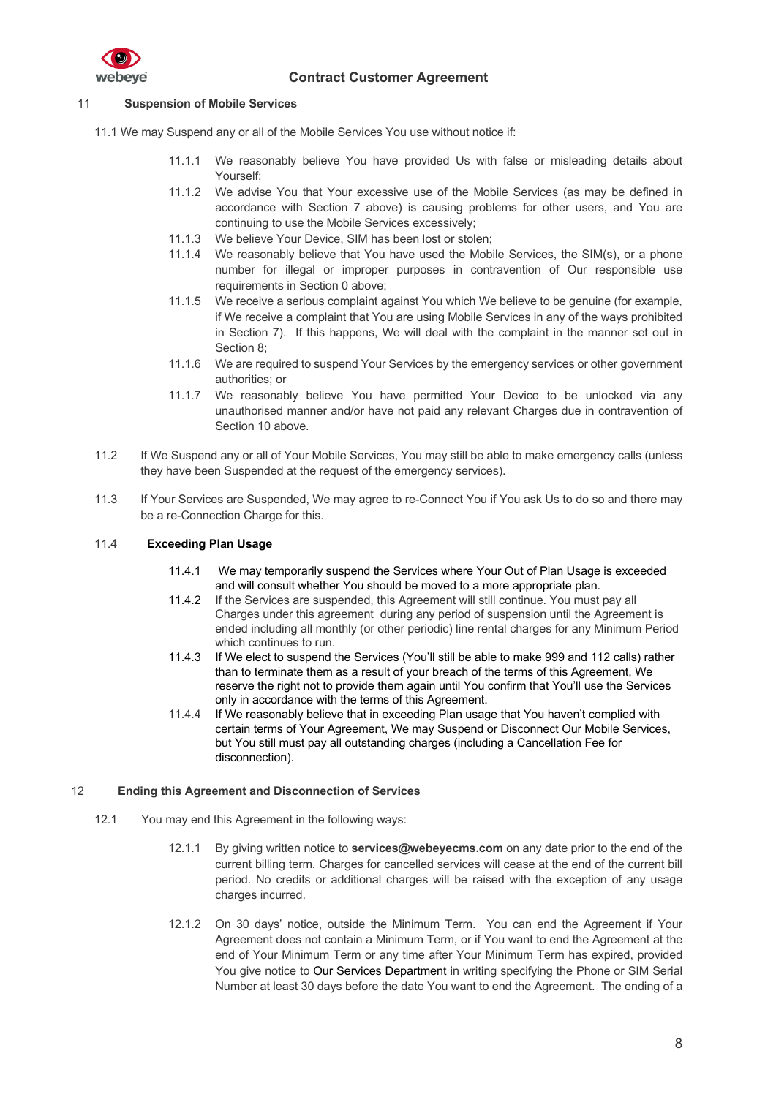

## 11 **Suspension of Mobile Services**

- 11.1 We may Suspend any or all of the Mobile Services You use without notice if:
	- 11.1.1 We reasonably believe You have provided Us with false or misleading details about Yourself;
	- 11.1.2 We advise You that Your excessive use of the Mobile Services (as may be defined in accordance with Section 7 above) is causing problems for other users, and You are continuing to use the Mobile Services excessively;
	- 11.1.3 We believe Your Device, SIM has been lost or stolen;
	- 11.1.4 We reasonably believe that You have used the Mobile Services, the SIM(s), or a phone number for illegal or improper purposes in contravention of Our responsible use requirements in Section 0 above;
	- 11.1.5 We receive a serious complaint against You which We believe to be genuine (for example, if We receive a complaint that You are using Mobile Services in any of the ways prohibited in Section 7). If this happens, We will deal with the complaint in the manner set out in Section 8;
	- 11.1.6 We are required to suspend Your Services by the emergency services or other government authorities; or
	- 11.1.7 We reasonably believe You have permitted Your Device to be unlocked via any unauthorised manner and/or have not paid any relevant Charges due in contravention of Section 10 above.
- 11.2 If We Suspend any or all of Your Mobile Services, You may still be able to make emergency calls (unless they have been Suspended at the request of the emergency services).
- 11.3 If Your Services are Suspended, We may agree to re-Connect You if You ask Us to do so and there may be a re-Connection Charge for this.

### 11.4 **Exceeding Plan Usage**

- 11.4.1 We may temporarily suspend the Services where Your Out of Plan Usage is exceeded and will consult whether You should be moved to a more appropriate plan.
- 11.4.2 If the Services are suspended, this Agreement will still continue. You must pay all Charges under this agreement during any period of suspension until the Agreement is ended including all monthly (or other periodic) line rental charges for any Minimum Period which continues to run.
- 11.4.3 If We elect to suspend the Services (You'll still be able to make 999 and 112 calls) rather than to terminate them as a result of your breach of the terms of this Agreement, We reserve the right not to provide them again until You confirm that You'll use the Services only in accordance with the terms of this Agreement.
- 11.4.4 If We reasonably believe that in exceeding Plan usage that You haven't complied with certain terms of Your Agreement, We may Suspend or Disconnect Our Mobile Services, but You still must pay all outstanding charges (including a Cancellation Fee for disconnection).

#### 12 **Ending this Agreement and Disconnection of Services**

- 12.1 You may end this Agreement in the following ways:
	- 12.1.1 By giving written notice to **services@webeyecms.com** on any date prior to the end of the current billing term. Charges for cancelled services will cease at the end of the current bill period. No credits or additional charges will be raised with the exception of any usage charges incurred.
	- 12.1.2 On 30 days' notice, outside the Minimum Term. You can end the Agreement if Your Agreement does not contain a Minimum Term, or if You want to end the Agreement at the end of Your Minimum Term or any time after Your Minimum Term has expired, provided You give notice to Our Services Department in writing specifying the Phone or SIM Serial Number at least 30 days before the date You want to end the Agreement. The ending of a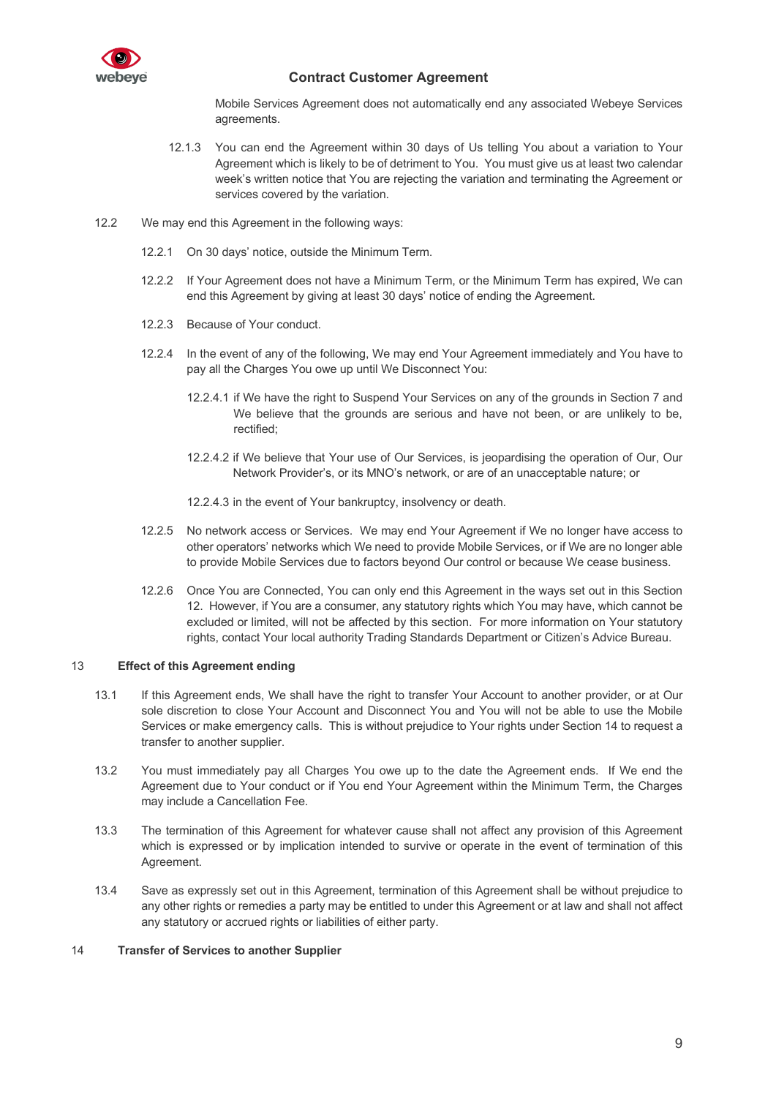

Mobile Services Agreement does not automatically end any associated Webeye Services agreements.

- 12.1.3 You can end the Agreement within 30 days of Us telling You about a variation to Your Agreement which is likely to be of detriment to You. You must give us at least two calendar week's written notice that You are rejecting the variation and terminating the Agreement or services covered by the variation.
- 12.2 We may end this Agreement in the following ways:
	- 12.2.1 On 30 days' notice, outside the Minimum Term.
	- 12.2.2 If Your Agreement does not have a Minimum Term, or the Minimum Term has expired, We can end this Agreement by giving at least 30 days' notice of ending the Agreement.
	- 12.2.3 Because of Your conduct.
	- 12.2.4 In the event of any of the following, We may end Your Agreement immediately and You have to pay all the Charges You owe up until We Disconnect You:
		- 12.2.4.1 if We have the right to Suspend Your Services on any of the grounds in Section 7 and We believe that the grounds are serious and have not been, or are unlikely to be, rectified;
		- 12.2.4.2 if We believe that Your use of Our Services, is jeopardising the operation of Our, Our Network Provider's, or its MNO's network, or are of an unacceptable nature; or
		- 12.2.4.3 in the event of Your bankruptcy, insolvency or death.
	- 12.2.5 No network access or Services. We may end Your Agreement if We no longer have access to other operators' networks which We need to provide Mobile Services, or if We are no longer able to provide Mobile Services due to factors beyond Our control or because We cease business.
	- 12.2.6 Once You are Connected, You can only end this Agreement in the ways set out in this Section 12. However, if You are a consumer, any statutory rights which You may have, which cannot be excluded or limited, will not be affected by this section. For more information on Your statutory rights, contact Your local authority Trading Standards Department or Citizen's Advice Bureau.

#### 13 **Effect of this Agreement ending**

- 13.1 If this Agreement ends, We shall have the right to transfer Your Account to another provider, or at Our sole discretion to close Your Account and Disconnect You and You will not be able to use the Mobile Services or make emergency calls. This is without prejudice to Your rights under Section 14 to request a transfer to another supplier.
- 13.2 You must immediately pay all Charges You owe up to the date the Agreement ends. If We end the Agreement due to Your conduct or if You end Your Agreement within the Minimum Term, the Charges may include a Cancellation Fee.
- 13.3 The termination of this Agreement for whatever cause shall not affect any provision of this Agreement which is expressed or by implication intended to survive or operate in the event of termination of this Agreement.
- 13.4 Save as expressly set out in this Agreement, termination of this Agreement shall be without prejudice to any other rights or remedies a party may be entitled to under this Agreement or at law and shall not affect any statutory or accrued rights or liabilities of either party.

## 14 **Transfer of Services to another Supplier**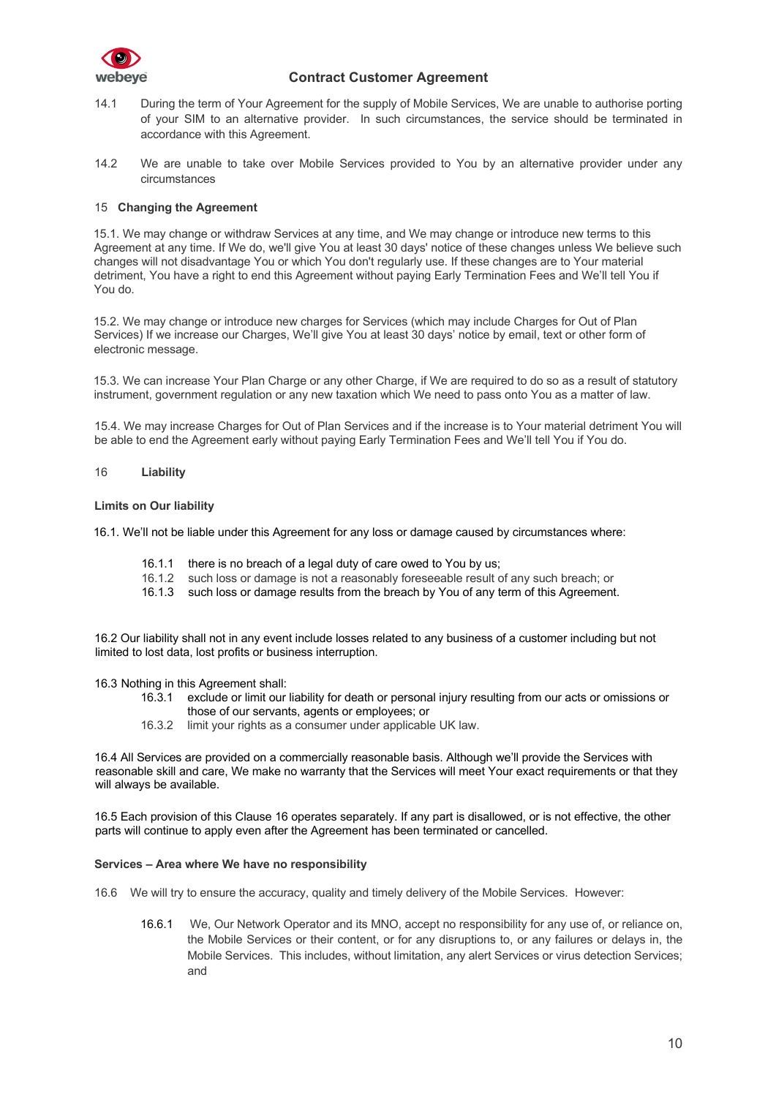

- 14.1 During the term of Your Agreement for the supply of Mobile Services, We are unable to authorise porting of your SIM to an alternative provider. In such circumstances, the service should be terminated in accordance with this Agreement.
- 14.2 We are unable to take over Mobile Services provided to You by an alternative provider under any circumstances

## 15 **Changing the Agreement**

15.1. We may change or withdraw Services at any time, and We may change or introduce new terms to this Agreement at any time. If We do, we'll give You at least 30 days' notice of these changes unless We believe such changes will not disadvantage You or which You don't regularly use. If these changes are to Your material detriment, You have a right to end this Agreement without paying Early Termination Fees and We'll tell You if You do.

15.2. We may change or introduce new charges for Services (which may include Charges for Out of Plan Services) If we increase our Charges, We'll give You at least 30 days' notice by email, text or other form of electronic message.

15.3. We can increase Your Plan Charge or any other Charge, if We are required to do so as a result of statutory instrument, government regulation or any new taxation which We need to pass onto You as a matter of law.

15.4. We may increase Charges for Out of Plan Services and if the increase is to Your material detriment You will be able to end the Agreement early without paying Early Termination Fees and We'll tell You if You do.

#### 16 **Liability**

#### **Limits on Our liability**

16.1. We'll not be liable under this Agreement for any loss or damage caused by circumstances where:

- 16.1.1 there is no breach of a legal duty of care owed to You by us;
- 16.1.2 such loss or damage is not a reasonably foreseeable result of any such breach; or
- 16.1.3 such loss or damage results from the breach by You of any term of this Agreement.

16.2 Our liability shall not in any event include losses related to any business of a customer including but not limited to lost data, lost profits or business interruption.

16.3 Nothing in this Agreement shall:

- 16.3.1 exclude or limit our liability for death or personal injury resulting from our acts or omissions or those of our servants, agents or employees; or
- 16.3.2 limit your rights as a consumer under applicable UK law.

16.4 All Services are provided on a commercially reasonable basis. Although we'll provide the Services with reasonable skill and care, We make no warranty that the Services will meet Your exact requirements or that they will always be available.

16.5 Each provision of this Clause 16 operates separately. If any part is disallowed, or is not effective, the other parts will continue to apply even after the Agreement has been terminated or cancelled.

### **Services – Area where We have no responsibility**

- 16.6 We will try to ensure the accuracy, quality and timely delivery of the Mobile Services. However:
	- 16.6.1 We, Our Network Operator and its MNO, accept no responsibility for any use of, or reliance on, the Mobile Services or their content, or for any disruptions to, or any failures or delays in, the Mobile Services. This includes, without limitation, any alert Services or virus detection Services; and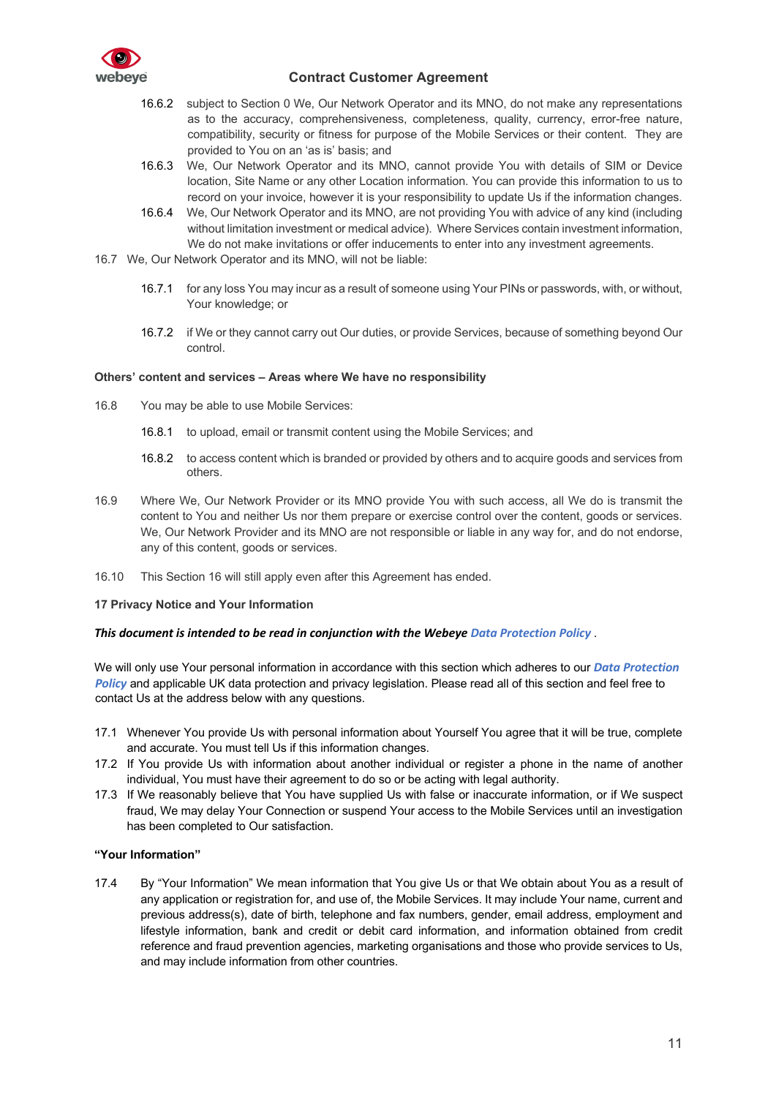

- 16.6.2 subject to Section 0 We, Our Network Operator and its MNO, do not make any representations as to the accuracy, comprehensiveness, completeness, quality, currency, error-free nature, compatibility, security or fitness for purpose of the Mobile Services or their content. They are provided to You on an 'as is' basis; and
- 16.6.3 We, Our Network Operator and its MNO, cannot provide You with details of SIM or Device location, Site Name or any other Location information. You can provide this information to us to record on your invoice, however it is your responsibility to update Us if the information changes.
- 16.6.4 We, Our Network Operator and its MNO, are not providing You with advice of any kind (including without limitation investment or medical advice). Where Services contain investment information, We do not make invitations or offer inducements to enter into any investment agreements.
- 16.7 We, Our Network Operator and its MNO, will not be liable:
	- 16.7.1 for any loss You may incur as a result of someone using Your PINs or passwords, with, or without, Your knowledge; or
	- 16.7.2 if We or they cannot carry out Our duties, or provide Services, because of something beyond Our control.

## **Others' content and services – Areas where We have no responsibility**

- 16.8 You may be able to use Mobile Services:
	- 16.8.1 to upload, email or transmit content using the Mobile Services; and
	- 16.8.2 to access content which is branded or provided by others and to acquire goods and services from others.
- 16.9 Where We, Our Network Provider or its MNO provide You with such access, all We do is transmit the content to You and neither Us nor them prepare or exercise control over the content, goods or services. We, Our Network Provider and its MNO are not responsible or liable in any way for, and do not endorse, any of this content, goods or services.
- 16.10 This Section 16 will still apply even after this Agreement has ended.

## **17 Privacy Notice and Your Information**

## *This document is intended to be read in conjunction with the Webeye Data Protection Policy* .

We will only use Your personal information in accordance with this section which adheres to our *Data Protection Policy* and applicable UK data protection and privacy legislation. Please read all of this section and feel free to contact Us at the address below with any questions.

- 17.1 Whenever You provide Us with personal information about Yourself You agree that it will be true, complete and accurate. You must tell Us if this information changes.
- 17.2 If You provide Us with information about another individual or register a phone in the name of another individual, You must have their agreement to do so or be acting with legal authority.
- 17.3 If We reasonably believe that You have supplied Us with false or inaccurate information, or if We suspect fraud, We may delay Your Connection or suspend Your access to the Mobile Services until an investigation has been completed to Our satisfaction.

## **"Your Information"**

17.4 By "Your Information" We mean information that You give Us or that We obtain about You as a result of any application or registration for, and use of, the Mobile Services. It may include Your name, current and previous address(s), date of birth, telephone and fax numbers, gender, email address, employment and lifestyle information, bank and credit or debit card information, and information obtained from credit reference and fraud prevention agencies, marketing organisations and those who provide services to Us, and may include information from other countries.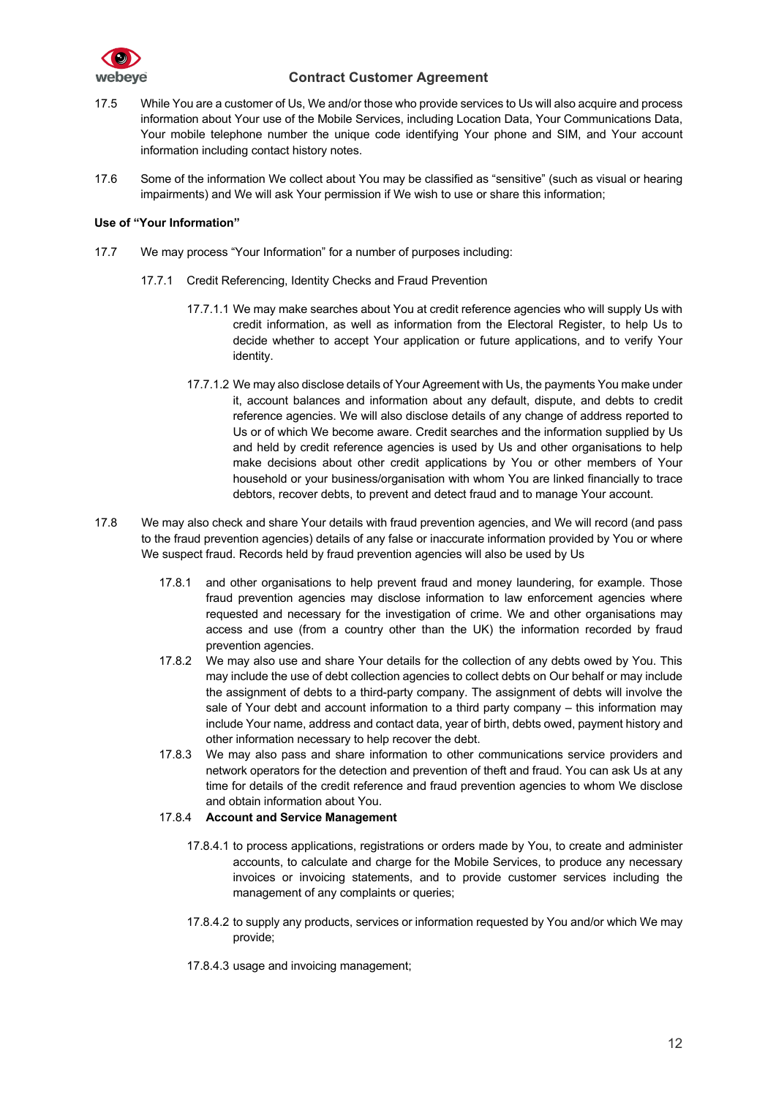

- 17.5 While You are a customer of Us, We and/or those who provide services to Us will also acquire and process information about Your use of the Mobile Services, including Location Data, Your Communications Data, Your mobile telephone number the unique code identifying Your phone and SIM, and Your account information including contact history notes.
- 17.6 Some of the information We collect about You may be classified as "sensitive" (such as visual or hearing impairments) and We will ask Your permission if We wish to use or share this information;

## **Use of "Your Information"**

- 17.7 We may process "Your Information" for a number of purposes including:
	- 17.7.1 Credit Referencing, Identity Checks and Fraud Prevention
		- 17.7.1.1 We may make searches about You at credit reference agencies who will supply Us with credit information, as well as information from the Electoral Register, to help Us to decide whether to accept Your application or future applications, and to verify Your identity.
		- 17.7.1.2 We may also disclose details of Your Agreement with Us, the payments You make under it, account balances and information about any default, dispute, and debts to credit reference agencies. We will also disclose details of any change of address reported to Us or of which We become aware. Credit searches and the information supplied by Us and held by credit reference agencies is used by Us and other organisations to help make decisions about other credit applications by You or other members of Your household or your business/organisation with whom You are linked financially to trace debtors, recover debts, to prevent and detect fraud and to manage Your account.
- 17.8 We may also check and share Your details with fraud prevention agencies, and We will record (and pass to the fraud prevention agencies) details of any false or inaccurate information provided by You or where We suspect fraud. Records held by fraud prevention agencies will also be used by Us
	- 17.8.1 and other organisations to help prevent fraud and money laundering, for example. Those fraud prevention agencies may disclose information to law enforcement agencies where requested and necessary for the investigation of crime. We and other organisations may access and use (from a country other than the UK) the information recorded by fraud prevention agencies.
	- 17.8.2 We may also use and share Your details for the collection of any debts owed by You. This may include the use of debt collection agencies to collect debts on Our behalf or may include the assignment of debts to a third-party company. The assignment of debts will involve the sale of Your debt and account information to a third party company – this information may include Your name, address and contact data, year of birth, debts owed, payment history and other information necessary to help recover the debt.
	- 17.8.3 We may also pass and share information to other communications service providers and network operators for the detection and prevention of theft and fraud. You can ask Us at any time for details of the credit reference and fraud prevention agencies to whom We disclose and obtain information about You.

## 17.8.4 **Account and Service Management**

- 17.8.4.1 to process applications, registrations or orders made by You, to create and administer accounts, to calculate and charge for the Mobile Services, to produce any necessary invoices or invoicing statements, and to provide customer services including the management of any complaints or queries;
- 17.8.4.2 to supply any products, services or information requested by You and/or which We may provide;
- 17.8.4.3 usage and invoicing management;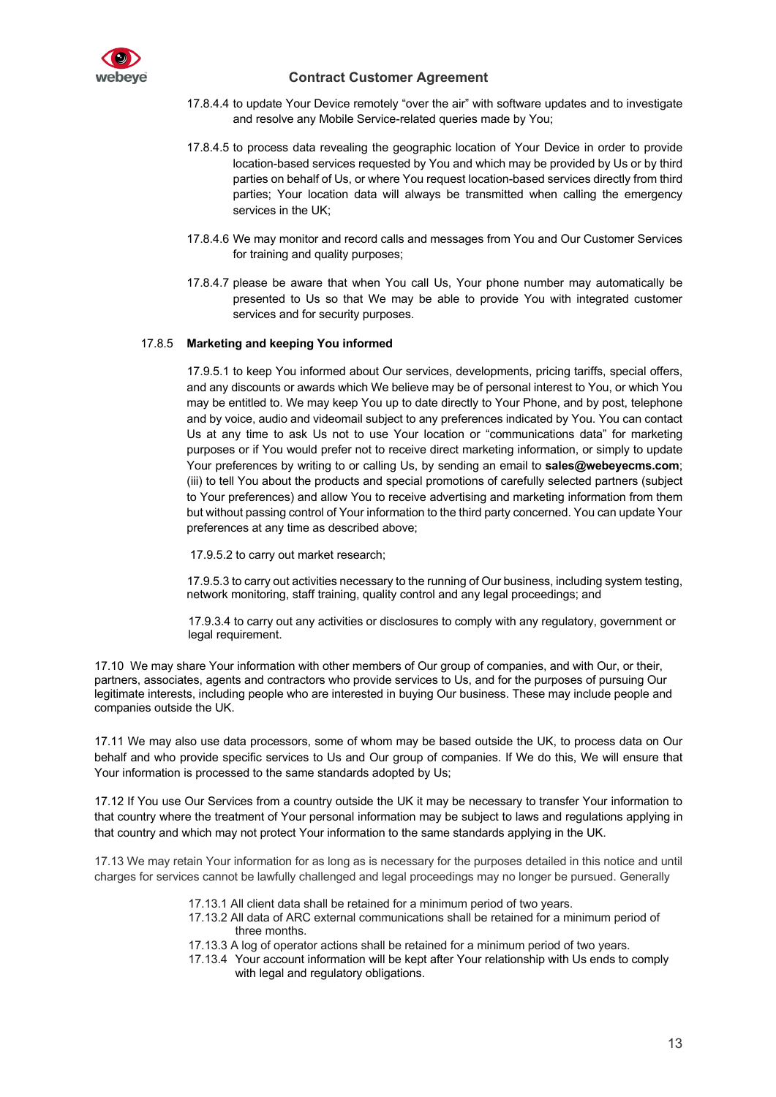

- 17.8.4.4 to update Your Device remotely "over the air" with software updates and to investigate and resolve any Mobile Service-related queries made by You;
- 17.8.4.5 to process data revealing the geographic location of Your Device in order to provide location-based services requested by You and which may be provided by Us or by third parties on behalf of Us, or where You request location-based services directly from third parties; Your location data will always be transmitted when calling the emergency services in the UK;
- 17.8.4.6 We may monitor and record calls and messages from You and Our Customer Services for training and quality purposes;
- 17.8.4.7 please be aware that when You call Us, Your phone number may automatically be presented to Us so that We may be able to provide You with integrated customer services and for security purposes.

## 17.8.5 **Marketing and keeping You informed**

17.9.5.1 to keep You informed about Our services, developments, pricing tariffs, special offers, and any discounts or awards which We believe may be of personal interest to You, or which You may be entitled to. We may keep You up to date directly to Your Phone, and by post, telephone and by voice, audio and videomail subject to any preferences indicated by You. You can contact Us at any time to ask Us not to use Your location or "communications data" for marketing purposes or if You would prefer not to receive direct marketing information, or simply to update Your preferences by writing to or calling Us, by sending an email to **sales@webeyecms.com**; (iii) to tell You about the products and special promotions of carefully selected partners (subject to Your preferences) and allow You to receive advertising and marketing information from them but without passing control of Your information to the third party concerned. You can update Your preferences at any time as described above;

17.9.5.2 to carry out market research;

17.9.5.3 to carry out activities necessary to the running of Our business, including system testing, network monitoring, staff training, quality control and any legal proceedings; and

17.9.3.4 to carry out any activities or disclosures to comply with any regulatory, government or legal requirement.

17.10 We may share Your information with other members of Our group of companies, and with Our, or their, partners, associates, agents and contractors who provide services to Us, and for the purposes of pursuing Our legitimate interests, including people who are interested in buying Our business. These may include people and companies outside the UK.

17.11 We may also use data processors, some of whom may be based outside the UK, to process data on Our behalf and who provide specific services to Us and Our group of companies. If We do this, We will ensure that Your information is processed to the same standards adopted by Us;

17.12 If You use Our Services from a country outside the UK it may be necessary to transfer Your information to that country where the treatment of Your personal information may be subject to laws and regulations applying in that country and which may not protect Your information to the same standards applying in the UK.

17.13 We may retain Your information for as long as is necessary for the purposes detailed in this notice and until charges for services cannot be lawfully challenged and legal proceedings may no longer be pursued. Generally

- 17.13.1 All client data shall be retained for a minimum period of two years.
- 17.13.2 All data of ARC external communications shall be retained for a minimum period of three months.
- 17.13.3 A log of operator actions shall be retained for a minimum period of two years.
- 17.13.4 Your account information will be kept after Your relationship with Us ends to comply with legal and regulatory obligations.